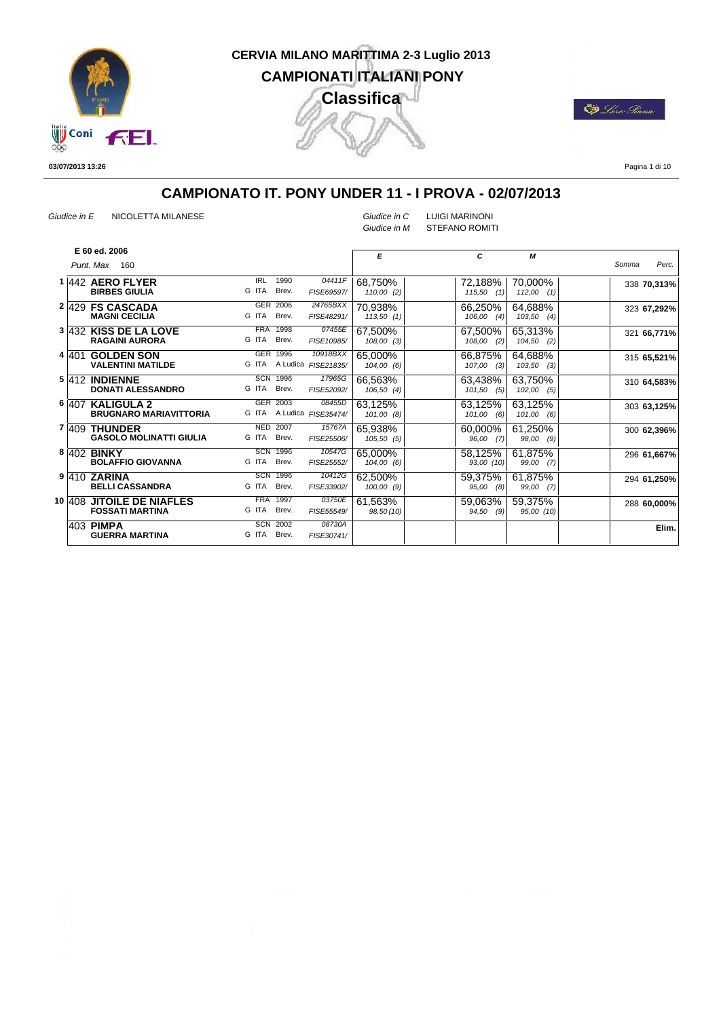

E) Lors Pana

**03/07/2013 13:26**

Pagina 1 di 10

## **CAMPIONATO IT. PONY UNDER 11 - I PROVA - 02/07/2013**

*Giudice in E* NICOLETTA MILANESE *Giudice in C* LUIGI MARINONI

*Giudice in M* STEFANO ROMITI

|  | E 60 ed. 2006                  |            |                 |                     |            |               |               |       |             |
|--|--------------------------------|------------|-----------------|---------------------|------------|---------------|---------------|-------|-------------|
|  |                                |            |                 |                     | E          | C             | М             |       |             |
|  | Punt. Max<br>160               |            |                 |                     |            |               |               | Somma | Perc.       |
|  | 1 442 AERO FLYER               | <b>IRL</b> | 1990            | 04411F              | 68,750%    | 72,188%       | 70,000%       |       | 338 70,313% |
|  | <b>BIRBES GIULIA</b>           | G ITA      | Brev.           | FISE69597/          | 110,00(2)  | (1)<br>115,50 | $112,00$ (1)  |       |             |
|  | 2 429 FS CASCADA               | <b>GER</b> | 2006            | 24765BXX            | 70,938%    | 66,250%       | 64,688%       |       | 323 67,292% |
|  | <b>MAGNI CECILIA</b>           | G ITA      | Brev.           | FISE48291/          | 113,50(1)  | 106,00<br>(4) | 103,50<br>(4) |       |             |
|  | 3 432 KISS DE LA LOVE          |            | <b>FRA 1998</b> | 07455E              | 67,500%    | 67,500%       | 65,313%       |       | 321 66,771% |
|  | <b>RAGAINI AURORA</b>          | G ITA      | Brev.           | FISE10985/          | 108,00 (3) | 108,00<br>(2) | 104,50<br>(2) |       |             |
|  | 4 401 GOLDEN SON               |            | GER 1996        | 10918BXX            | 65,000%    | 66,875%       | 64,688%       |       | 315 65,521% |
|  | <b>VALENTINI MATILDE</b>       | G ITA      |                 | A Ludica FISE21835/ | 104,00 (6) | 107,00<br>(3) | 103,50<br>(3) |       |             |
|  | 5 412 INDIENNE                 |            | <b>SCN 1996</b> | 17965G              | 66,563%    | 63,438%       | 63,750%       |       | 310 64,583% |
|  | <b>DONATI ALESSANDRO</b>       | G ITA      | Brev.           | FISE52092/          | 106,50(4)  | 101,50<br>(5) | 102,00<br>(5) |       |             |
|  | 6 407 KALIGULA 2               |            | GER 2003        | 08455D              | 63,125%    | 63,125%       | 63,125%       |       | 303 63,125% |
|  | <b>BRUGNARO MARIAVITTORIA</b>  | G ITA      |                 | A Ludica FISE35474/ | 101,00(8)  | 101,00<br>(6) | 101,00<br>(6) |       |             |
|  | 7  409 THUNDER                 |            | <b>NED 2007</b> | 15767A              | 65,938%    | 60,000%       | 61,250%       |       | 300 62,396% |
|  | <b>GASOLO MOLINATTI GIULIA</b> | G ITA      | Brev.           | FISE25506/          | 105,50(5)  | 96,00<br>(7)  | 98,00<br>(9)  |       |             |
|  | 8 402 BINKY                    |            | <b>SCN 1996</b> | 10547G              | 65,000%    | 58,125%       | 61,875%       |       | 296 61,667% |
|  | <b>BOLAFFIO GIOVANNA</b>       | G ITA      | Brev.           | FISE25552/          | 104,00(6)  | 93,00 (10)    | 99,00<br>(7)  |       |             |
|  | 9 410 ZARINA                   |            | <b>SCN 1996</b> | 10412G              | 62,500%    | 59,375%       | 61,875%       |       | 294 61,250% |
|  | <b>BELLI CASSANDRA</b>         | G ITA      | Brev.           | FISE33902/          | 100,00(9)  | 95,00<br>(8)  | 99,00 (7)     |       |             |
|  | 10 408 JITOILE DE NIAFLES      | <b>FRA</b> | 1997            | 03750E              | 61,563%    | 59,063%       | 59,375%       |       | 288 60,000% |
|  | <b>FOSSATI MARTINA</b>         | G ITA      | Brev.           | FISE55549/          | 98,50(10)  | 94,50<br>(9)  | 95,00 (10)    |       |             |
|  | 403 PIMPA                      | <b>SCN</b> | 2002            | 08730A              |            |               |               |       | Elim.       |
|  | <b>GUERRA MARTINA</b>          | G ITA      | Brev.           | FISE30741/          |            |               |               |       |             |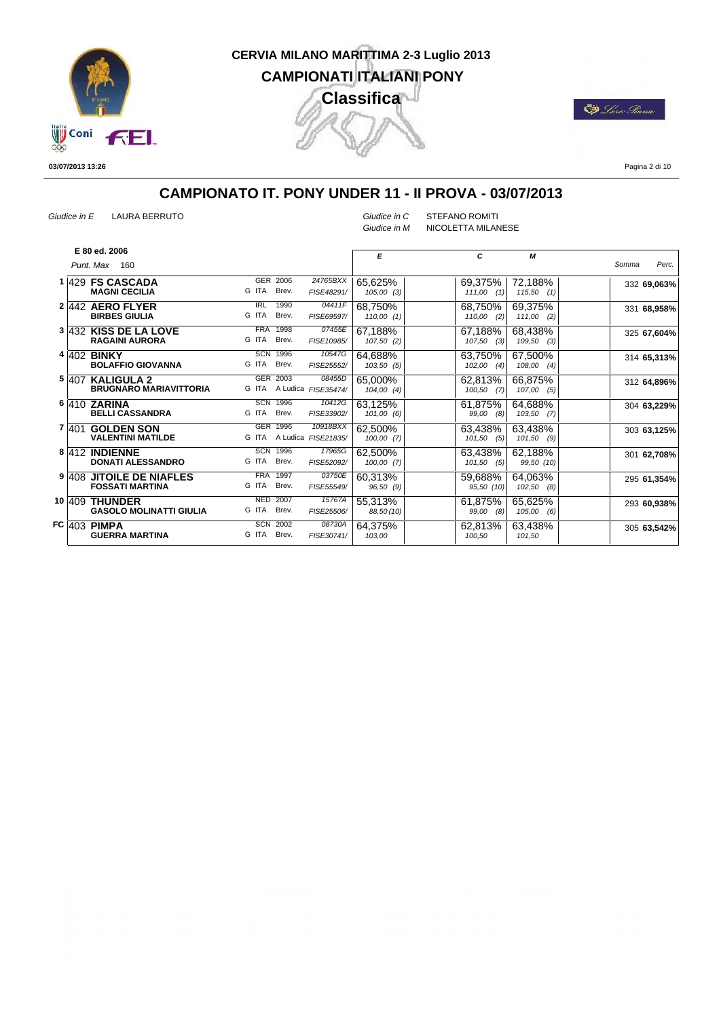

**De** Loro Siana

**03/07/2013 13:26**

Pagina 2 di 10

#### **CAMPIONATO IT. PONY UNDER 11 - II PROVA - 03/07/2013**

*Giudice in E* LAURA BERRUTO *Giudice in C* STEFANO ROMITI

*Giudice in M* NICOLETTA MILANESE

|  | E 80 ed. 2006<br>Punt. Max<br>160                        |                                                                           | E                       | C                        | М                        | Perc.<br>Somma |
|--|----------------------------------------------------------|---------------------------------------------------------------------------|-------------------------|--------------------------|--------------------------|----------------|
|  | 1 429 FS CASCADA<br><b>MAGNI CECILIA</b>                 | GER 2006<br>24765BXX<br>G ITA<br>Brev.<br>FISE48291/                      | 65,625%<br>105,00(3)    | 69,375%<br>$111,00$ (1)  | 72,188%<br>115,50<br>(1) | 332 69,063%    |
|  | 2 442 AERO FLYER<br><b>BIRBES GIULIA</b>                 | 1990<br>$\overline{\text{IRL}}$<br>04411F<br>G ITA<br>Brev.<br>FISE69597/ | 68,750%<br>110,00(1)    | 68,750%<br>110,00<br>(2) | 69,375%<br>111,00<br>(2) | 331 68,958%    |
|  | 3 432 KISS DE LA LOVE<br><b>RAGAINI AURORA</b>           | <b>FRA</b><br>1998<br>07455E<br>G ITA<br>Brev.<br>FISE10985/              | 67,188%<br>107,50(2)    | 67,188%<br>107,50<br>(3) | 68,438%<br>109,50<br>(3) | 325 67,604%    |
|  | 4 402 <b>BINKY</b><br><b>BOLAFFIO GIOVANNA</b>           | <b>SCN 1996</b><br>10547G<br>G ITA<br>Brev.<br>FISE25552/                 | 64,688%<br>103,50(5)    | 63,750%<br>102,00<br>(4) | 67,500%<br>108,00<br>(4) | 314 65,313%    |
|  | <b>5 407 KALIGULA 2</b><br><b>BRUGNARO MARIAVITTORIA</b> | GER 2003<br>08455D<br>G ITA<br>A Ludica FISE35474/                        | 65.000%<br>$104,00$ (4) | 62,813%<br>100,50<br>(7) | 66,875%<br>107,00<br>(5) | 312 64,896%    |
|  | 6 410 ZARINA<br><b>BELLI CASSANDRA</b>                   | <b>SCN 1996</b><br>10412G<br>G ITA<br>Brev.<br>FISE33902/                 | 63,125%<br>101,00(6)    | 61,875%<br>99,00<br>(8)  | 64,688%<br>103,50<br>(7) | 304 63,229%    |
|  | 7 401 GOLDEN SON<br><b>VALENTINI MATILDE</b>             | GER 1996<br>10918BXX<br>G ITA<br>A Ludica FISE21835/                      | 62,500%<br>100,00(7)    | 63,438%<br>101,50<br>(5) | 63,438%<br>101,50<br>(9) | 303 63,125%    |
|  | 8 412 INDIENNE<br><b>DONATI ALESSANDRO</b>               | <b>SCN 1996</b><br>17965G<br>G ITA<br>Brev.<br>FISE52092/                 | 62,500%<br>100,00(7)    | 63,438%<br>101,50<br>(5) | 62,188%<br>99,50 (10)    | 301 62,708%    |
|  | 9 408 JITOILE DE NIAFLES<br><b>FOSSATI MARTINA</b>       | <b>FRA</b><br>1997<br>03750E<br>G ITA<br>Brev.<br>FISE55549/              | 60,313%<br>96,50 (9)    | 59,688%<br>95,50 (10)    | 64,063%<br>102,50<br>(8) | 295 61,354%    |
|  | 10 409 THUNDER<br><b>GASOLO MOLINATTI GIULIA</b>         | <b>NED</b><br>2007<br>15767A<br>G ITA<br>Brev.<br>FISE25506/              | 55,313%<br>88,50 (10)   | 61,875%<br>99,00<br>(8)  | 65,625%<br>105,00<br>(6) | 293 60,938%    |
|  | FC $\overline{403}$ pimpa<br><b>GUERRA MARTINA</b>       | <b>SCN 2002</b><br>08730A<br>G ITA Brev.<br>FISE30741/                    | 64,375%<br>103,00       | 62,813%<br>100,50        | 63,438%<br>101,50        | 305 63,542%    |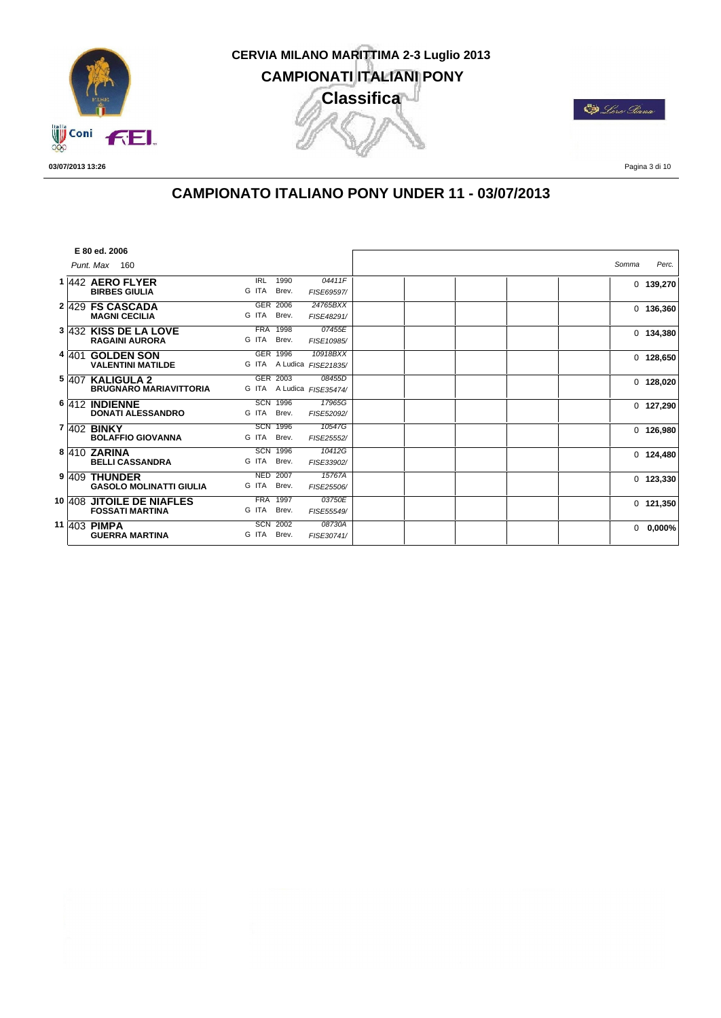

**ED** Lors Piana

**03/07/2013 13:26**

Pagina 3 di 10

## **CAMPIONATO ITALIANO PONY UNDER 11 - 03/07/2013**

|         | E 80 ed. 2006                                       |                                                              |       |             |
|---------|-----------------------------------------------------|--------------------------------------------------------------|-------|-------------|
|         | Punt. Max 160                                       |                                                              | Somma | Perc.       |
|         | 1 442 AERO FLYER<br><b>BIRBES GIULIA</b>            | <b>IRL</b><br>1990<br>04411F<br>G ITA<br>Brev.<br>FISE69597/ |       | $0$ 139,270 |
|         | 2 429 FS CASCADA<br><b>MAGNI CECILIA</b>            | 24765BXX<br>GER 2006<br>G ITA<br>Brev.<br>FISE48291/         |       | $0$ 136,360 |
|         | 3 432 KISS DE LA LOVE<br><b>RAGAINI AURORA</b>      | <b>FRA 1998</b><br>07455E<br>G ITA<br>Brev.<br>FISE10985/    |       | $0$ 134,380 |
| 4 4 0 1 | <b>GOLDEN SON</b><br><b>VALENTINI MATILDE</b>       | GER 1996<br>10918BXX<br>G ITA<br>A Ludica FISE21835/         |       | $0$ 128,650 |
|         | 5 407 KALIGULA 2<br><b>BRUGNARO MARIAVITTORIA</b>   | GER 2003<br>08455D<br>A Ludica FISE35474/<br>G ITA           |       | $0$ 128,020 |
|         | 6 412 INDIENNE<br><b>DONATI ALESSANDRO</b>          | <b>SCN 1996</b><br>17965G<br>G ITA<br>Brev.<br>FISE52092/    |       | $0$ 127,290 |
|         | 7 402 <b>BINKY</b><br><b>BOLAFFIO GIOVANNA</b>      | <b>SCN 1996</b><br>10547G<br>G ITA<br>Brev.<br>FISE25552/    |       | 0, 126,980  |
|         | 8 410 ZARINA<br><b>BELLI CASSANDRA</b>              | <b>SCN 1996</b><br>10412G<br>G ITA<br>Brev.<br>FISE33902/    |       | $0$ 124,480 |
|         | 9 409 THUNDER<br><b>GASOLO MOLINATTI GIULIA</b>     | <b>NED 2007</b><br>15767A<br>G ITA<br>Brev.<br>FISE25506/    |       | $0$ 123,330 |
|         | 10 408 JITOILE DE NIAFLES<br><b>FOSSATI MARTINA</b> | <b>FRA 1997</b><br>03750E<br>G ITA<br>Brev.<br>FISE55549/    |       | $0$ 121,350 |
|         | 11 403 PIMPA<br><b>GUERRA MARTINA</b>               | <b>SCN 2002</b><br>08730A<br>G ITA<br>Brev.<br>FISE30741/    |       | $0$ 0,000%  |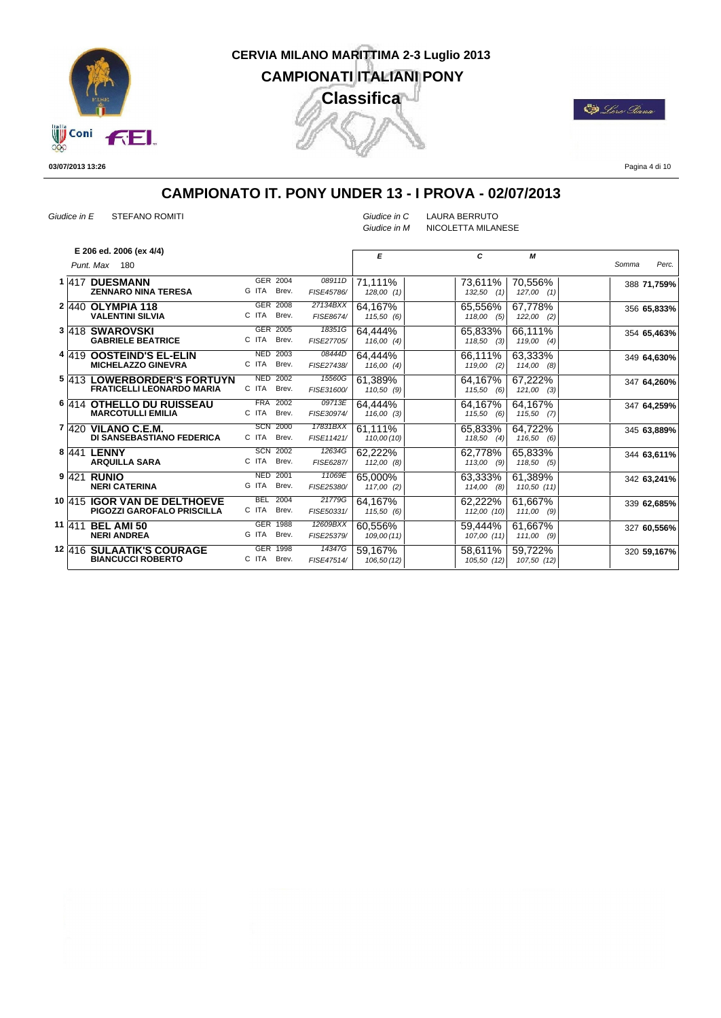

**De** Loro Siana

**03/07/2013 13:26**

Pagina 4 di 10

## **CAMPIONATO IT. PONY UNDER 13 - I PROVA - 02/07/2013**

*Giudice in E* STEFANO ROMITI *Giudice in C* LAURA BERRUTO

*Giudice in M* NICOLETTA MILANESE

|   | E 206 ed. 2006 (ex 4/4)          |                 |                 |            | E           | C              | М              |             |       |
|---|----------------------------------|-----------------|-----------------|------------|-------------|----------------|----------------|-------------|-------|
|   | Punt. Max<br>180                 |                 |                 |            |             |                |                | Somma       | Perc. |
|   | 1 417 DUESMANN                   |                 | GER 2004        | 08911D     | 71,111%     | 73,611%        | 70,556%        | 388 71,759% |       |
|   | <b>ZENNARO NINA TERESA</b>       | G ITA           | Brev.           | FISE45786/ | 128,00(1)   | $132,50$ (1)   | $127,00$ $(1)$ |             |       |
|   | 2 440 OLYMPIA 118                |                 | GER 2008        | 27134BXX   | 64,167%     | 65.556%        | 67,778%        | 356 65,833% |       |
|   | <b>VALENTINI SILVIA</b>          | C ITA           | Brev.           | FISE8674/  | 115,50 (6)  | 118,00(5)      | $122,00$ (2)   |             |       |
|   | 3 418 SWAROVSKI                  | GER 2005        |                 | 18351G     | 64,444%     | 65,833%        | 66.111%        | 354 65,463% |       |
|   | <b>GABRIELE BEATRICE</b>         | C ITA           | Brev.           | FISE27705/ | 116,00(4)   | $118,50$ (3)   | $119,00$ (4)   |             |       |
|   | 4 419 OOSTEIND'S EL-ELIN         | <b>NED 2003</b> |                 | 08444D     | 64,444%     | 66.111%        | 63,333%        | 349 64,630% |       |
|   | <b>MICHELAZZO GINEVRA</b>        | C ITA           | Brev.           | FISE27438/ | 116,00(4)   | 119,00<br>(2)  | $114,00$ $(8)$ |             |       |
|   | 5 413 LOWERBORDER'S FORTUYN      | <b>NED 2002</b> |                 | 15560G     | 61,389%     | 64.167%        | 67,222%        | 347 64,260% |       |
|   | <b>FRATICELLI LEONARDO MARIA</b> | C ITA           | Brev.           | FISE31600/ | 110,50(9)   | (6)<br>115,50  | $121,00$ (3)   |             |       |
|   | 6 414 OTHELLO DU RUISSEAU        |                 | <b>FRA 2002</b> | 09713E     | 64,444%     | 64,167%        | 64,167%        | 347 64,259% |       |
|   | <b>MARCOTULLI EMILIA</b>         | C ITA           | Brev.           | FISE30974/ | 116,00(3)   | 115,50<br>(6)  | 115,50(7)      |             |       |
| 7 | $ 420$ VILANO C.E.M.             |                 | <b>SCN 2000</b> | 17831BXX   | 61,111%     | 65,833%        | 64,722%        | 345 63,889% |       |
|   | <b>DI SANSEBASTIANO FEDERICA</b> | C ITA           | Brev.           | FISE11421/ | 110,00 (10) | 118,50<br>(4)  | 116,50(6)      |             |       |
|   | 8 441 LENNY                      |                 | <b>SCN 2002</b> | 12634G     | 62,222%     | 62,778%        | 65,833%        | 344 63,611% |       |
|   | <b>ARQUILLA SARA</b>             | C ITA           | Brev.           | FISE6287/  | 112,00(8)   | $113,00$ (9)   | 118,50(5)      |             |       |
|   | 9 421 RUNIO                      | <b>NED</b>      | 2001            | 11069E     | 65,000%     | 63,333%        | 61,389%        | 342 63,241% |       |
|   | <b>NERI CATERINA</b>             | G ITA           | Brev.           | FISE25380/ | 117,00(2)   | $114,00$ $(8)$ | 110,50 (11)    |             |       |
|   | 10 415 IGOR VAN DE DELTHOEVE     | <b>BEL 2004</b> |                 | 21779G     | 64.167%     | 62,222%        | 61.667%        | 339 62,685% |       |
|   | PIGOZZI GAROFALO PRISCILLA       | C ITA           | Brev.           | FISE50331/ | 115,50 (6)  | 112,00 (10)    | $111,00$ (9)   |             |       |
|   | 11 411 BEL AMI 50                | GER 1988        |                 | 12609BXX   | 60,556%     | 59.444%        | 61.667%        | 327 60,556% |       |
|   | <b>NERI ANDREA</b>               | G ITA           | Brev.           | FISE25379/ | 109,00(11)  | 107,00 (11)    | $111,00$ (9)   |             |       |
|   | <b>12 416 SULAATIK'S COURAGE</b> | GER 1998        |                 | 14347G     | 59,167%     | 58.611%        | 59,722%        | 320 59,167% |       |
|   | <b>BIANCUCCI ROBERTO</b>         | C ITA           | Brev.           | FISE47514/ | 106,50(12)  | 105,50 (12)    | 107,50 (12)    |             |       |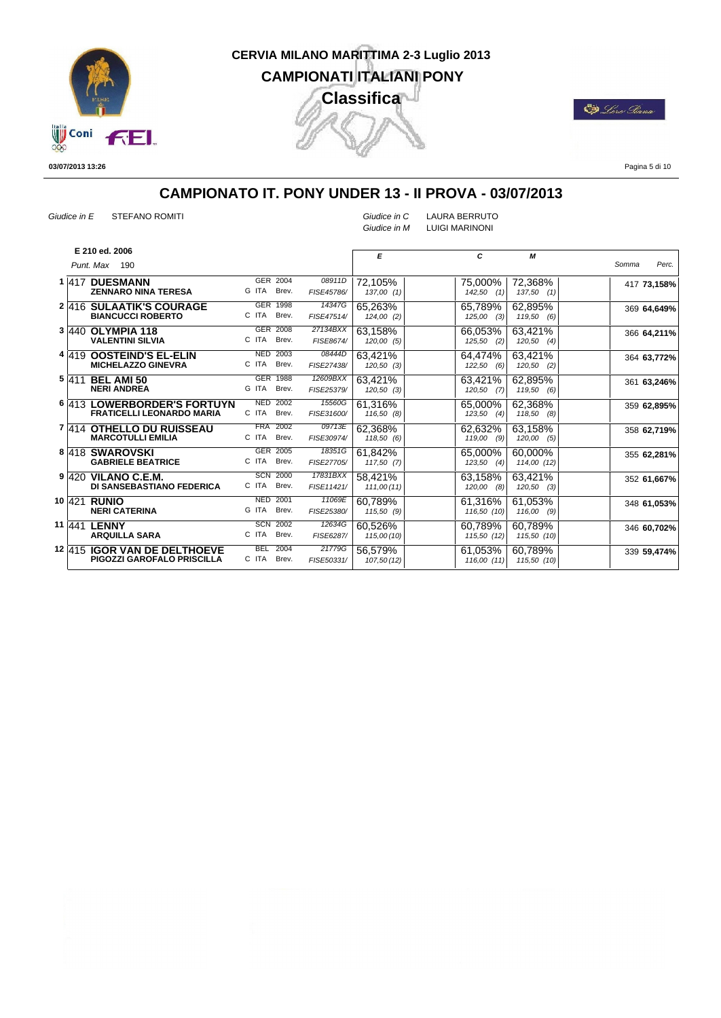

E) Lors Pana

**03/07/2013 13:26**

Pagina 5 di 10

#### **CAMPIONATO IT. PONY UNDER 13 - II PROVA - 03/07/2013**

*Giudice in E* STEFANO ROMITI *Giudice in C* LAURA BERRUTO *Giudice in M* LUIGI MARINONI

| E 210 ed. 2006<br>E<br>C<br>М<br>Punt. Max<br>190<br>GER 2004<br>08911D<br>1 417 DUESMANN<br>72,105%<br>72,368%<br>75,000%<br>G ITA<br>Brev.<br><b>ZENNARO NINA TERESA</b><br>FISE45786/<br>137,00(1)<br>$142,50$ (1)<br>$137,50$ (1)<br>GER 1998<br>14347G<br>2 416 SULAATIK'S COURAGE<br>65,263%<br>65,789%<br>62,895%<br>C ITA<br>Brev.<br><b>BIANCUCCI ROBERTO</b><br>FISE47514/<br>124,00 (2)<br>125,00<br>(3)<br>119,50 (6)<br>GER 2008<br>27134BXX<br>3 440 OLYMPIA 118<br>63,158%<br>66,053%<br>63,421%<br>C ITA<br>Brev.<br><b>VALENTINI SILVIA</b><br>FISE8674/<br>120,00(5)<br>125,50<br>$120,50$ (4)<br>(2)<br><b>NED 2003</b><br>08444D<br>63.421%<br>4 4 4 9 OOSTEIND'S EL-ELIN<br>63,421%<br>64.474%<br>C ITA<br>Brev.<br><b>MICHELAZZO GINEVRA</b><br>FISE27438/<br>$120,50$ (3)<br>$122,50$ (6)<br>$120,50$ (2) |                |
|----------------------------------------------------------------------------------------------------------------------------------------------------------------------------------------------------------------------------------------------------------------------------------------------------------------------------------------------------------------------------------------------------------------------------------------------------------------------------------------------------------------------------------------------------------------------------------------------------------------------------------------------------------------------------------------------------------------------------------------------------------------------------------------------------------------------------------|----------------|
|                                                                                                                                                                                                                                                                                                                                                                                                                                                                                                                                                                                                                                                                                                                                                                                                                                  |                |
|                                                                                                                                                                                                                                                                                                                                                                                                                                                                                                                                                                                                                                                                                                                                                                                                                                  | Somma<br>Perc. |
|                                                                                                                                                                                                                                                                                                                                                                                                                                                                                                                                                                                                                                                                                                                                                                                                                                  | 417 73,158%    |
|                                                                                                                                                                                                                                                                                                                                                                                                                                                                                                                                                                                                                                                                                                                                                                                                                                  |                |
|                                                                                                                                                                                                                                                                                                                                                                                                                                                                                                                                                                                                                                                                                                                                                                                                                                  | 369 64,649%    |
|                                                                                                                                                                                                                                                                                                                                                                                                                                                                                                                                                                                                                                                                                                                                                                                                                                  |                |
|                                                                                                                                                                                                                                                                                                                                                                                                                                                                                                                                                                                                                                                                                                                                                                                                                                  | 366 64,211%    |
|                                                                                                                                                                                                                                                                                                                                                                                                                                                                                                                                                                                                                                                                                                                                                                                                                                  |                |
|                                                                                                                                                                                                                                                                                                                                                                                                                                                                                                                                                                                                                                                                                                                                                                                                                                  | 364 63,772%    |
|                                                                                                                                                                                                                                                                                                                                                                                                                                                                                                                                                                                                                                                                                                                                                                                                                                  |                |
| GER 1988<br>12609BXX<br>63,421%<br>5 411 BEL AMI 50<br>62,895%<br>63,421%                                                                                                                                                                                                                                                                                                                                                                                                                                                                                                                                                                                                                                                                                                                                                        | 361 63,246%    |
| G ITA<br>Brev.<br><b>NERI ANDREA</b><br>FISE25379/<br>$120,50$ (3)<br>$120,50$ (7)<br>119,50(6)                                                                                                                                                                                                                                                                                                                                                                                                                                                                                                                                                                                                                                                                                                                                  |                |
| <b>NED 2002</b><br>15560G<br>6 413 LOWERBORDER'S FORTUYN<br>61.316%<br>65,000%<br>62,368%                                                                                                                                                                                                                                                                                                                                                                                                                                                                                                                                                                                                                                                                                                                                        | 359 62,895%    |
| C ITA<br>Brev.<br><b>FRATICELLI LEONARDO MARIA</b><br>FISE31600/<br>116,50 (8)<br>$123,50$ (4)<br>$118,50$ (8)                                                                                                                                                                                                                                                                                                                                                                                                                                                                                                                                                                                                                                                                                                                   |                |
| <b>FRA 2002</b><br>09713E<br>7 414 OTHELLO DU RUISSEAU<br>62,368%<br>62,632%<br>63,158%                                                                                                                                                                                                                                                                                                                                                                                                                                                                                                                                                                                                                                                                                                                                          | 358 62,719%    |
| <b>MARCOTULLI EMILIA</b><br>C ITA<br>Brev.<br>FISE30974/<br>118,50(6)<br>$119,00$ (9)<br>120,00(5)                                                                                                                                                                                                                                                                                                                                                                                                                                                                                                                                                                                                                                                                                                                               |                |
| GER 2005<br>18351G<br>8 418 SWAROVSKI<br>61,842%<br>60,000%<br>65,000%                                                                                                                                                                                                                                                                                                                                                                                                                                                                                                                                                                                                                                                                                                                                                           | 355 62,281%    |
| C ITA<br>Brev.<br><b>GABRIELE BEATRICE</b><br>FISE27705/<br>117,50(7)<br>123,50<br>(4)<br>114,00 (12)                                                                                                                                                                                                                                                                                                                                                                                                                                                                                                                                                                                                                                                                                                                            |                |
| <b>SCN 2000</b><br>17831BXX<br>9 420 VILANO C.E.M.<br>58,421%<br>63,158%<br>63,421%                                                                                                                                                                                                                                                                                                                                                                                                                                                                                                                                                                                                                                                                                                                                              | 352 61,667%    |
| C ITA<br>Brev.<br><b>DI SANSEBASTIANO FEDERICA</b><br>FISE11421/<br>111,00(11)<br>120,00<br>$120,50$ (3)<br>(8)                                                                                                                                                                                                                                                                                                                                                                                                                                                                                                                                                                                                                                                                                                                  |                |
| <b>NED</b><br>2001<br>11069E<br>10 421 RUNIO<br>60.789%<br>61,053%<br>61,316%                                                                                                                                                                                                                                                                                                                                                                                                                                                                                                                                                                                                                                                                                                                                                    | 348 61,053%    |
| <b>NERI CATERINA</b><br>G ITA<br>Brev.<br>FISE25380/<br>115,50(9)<br>116,50 (10)<br>116,00(9)                                                                                                                                                                                                                                                                                                                                                                                                                                                                                                                                                                                                                                                                                                                                    |                |
| <b>SCN</b><br>2002<br>12634G<br>11 441 LENNY<br>60,526%<br>60,789%<br>60,789%                                                                                                                                                                                                                                                                                                                                                                                                                                                                                                                                                                                                                                                                                                                                                    | 346 60.702%    |
| C ITA<br><b>ARQUILLA SARA</b><br>Brev.<br>FISE6287/<br>115,00 (10)<br>115,50 (12)<br>115,50 (10)                                                                                                                                                                                                                                                                                                                                                                                                                                                                                                                                                                                                                                                                                                                                 |                |
| <b>BEL</b><br>2004<br>21779G<br>12 415 IGOR VAN DE DELTHOEVE<br>56,579%<br>60,789%<br>61,053%                                                                                                                                                                                                                                                                                                                                                                                                                                                                                                                                                                                                                                                                                                                                    | 339 59,474%    |
| C ITA<br>Brev.<br>PIGOZZI GAROFALO PRISCILLA<br>FISE50331/<br>107,50(12)<br>116,00 (11)<br>115,50 (10)                                                                                                                                                                                                                                                                                                                                                                                                                                                                                                                                                                                                                                                                                                                           |                |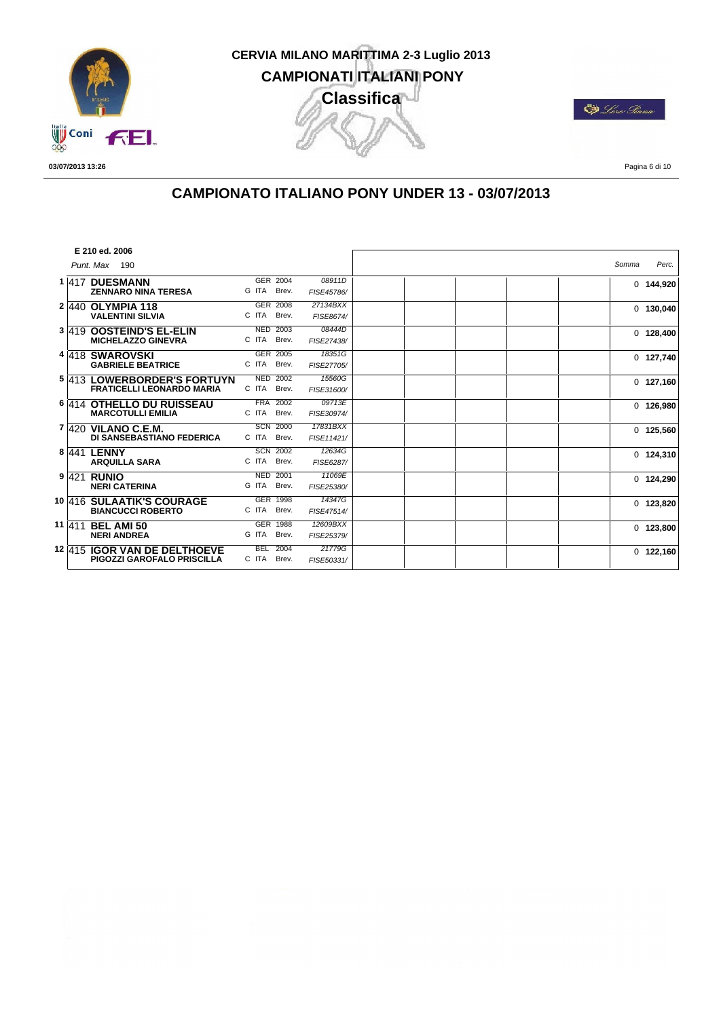

**ED** Lors Piana

**03/07/2013 13:26**

Pagina 6 di 10

## **CAMPIONATO ITALIANO PONY UNDER 13 - 03/07/2013**

|  | E 210 ed. 2006                      |       |                 |            |  |       |             |
|--|-------------------------------------|-------|-----------------|------------|--|-------|-------------|
|  | Punt. Max 190                       |       |                 |            |  | Somma | Perc.       |
|  | 1 417 DUESMANN                      |       | GER 2004        | 08911D     |  |       | $0$ 144,920 |
|  | <b>ZENNARO NINA TERESA</b>          | G ITA | Brev.           | FISE45786/ |  |       |             |
|  | 2 440 OLYMPIA 118                   |       | GER 2008        | 27134BXX   |  |       | $0$ 130,040 |
|  | <b>VALENTINI SILVIA</b>             | C ITA | Brev.           | FISE8674/  |  |       |             |
|  | 3 419 OOSTEIND'S EL-ELIN            |       | <b>NED 2003</b> | 08444D     |  |       | $0$ 128,400 |
|  | <b>MICHELAZZO GINEVRA</b>           | C ITA | Brev.           | FISE27438/ |  |       |             |
|  | 4 418 SWAROVSKI                     |       | GER 2005        | 18351G     |  |       | $0$ 127,740 |
|  | <b>GABRIELE BEATRICE</b>            | C ITA | Brev.           | FISE27705/ |  |       |             |
|  | 5 413 LOWERBORDER'S FORTUYN         |       | <b>NED 2002</b> | 15560G     |  |       | $0$ 127,160 |
|  | <b>FRATICELLI LEONARDO MARIA</b>    | C ITA | Brev.           | FISE31600/ |  |       |             |
|  | 6 414 OTHELLO DU RUISSEAU           |       | <b>FRA 2002</b> | 09713E     |  |       | $0$ 126,980 |
|  | <b>MARCOTULLI EMILIA</b>            | C ITA | Brev.           | FISE30974/ |  |       |             |
|  | 7 420 VILANO C.E.M.                 |       | <b>SCN 2000</b> | 17831BXX   |  |       | $0$ 125,560 |
|  | DI SANSEBASTIANO FEDERICA           | C ITA | Brev.           | FISE11421/ |  |       |             |
|  | 8 441 LENNY                         |       | <b>SCN 2002</b> | 12634G     |  |       | $0$ 124,310 |
|  | <b>ARQUILLA SARA</b>                | C ITA | Brev.           | FISE6287/  |  |       |             |
|  | 9 421 RUNIO                         |       | <b>NED 2001</b> | 11069E     |  |       | $0$ 124,290 |
|  | <b>NERI CATERINA</b>                | G ITA | Brev.           | FISE25380/ |  |       |             |
|  | 10 416 SULAATIK'S COURAGE           |       | GER 1998        | 14347G     |  |       | $0$ 123,820 |
|  | <b>BIANCUCCI ROBERTO</b>            | C ITA | Brev.           | FISE47514/ |  |       |             |
|  | 11 411 BEL AMI 50                   |       | <b>GER 1988</b> | 12609BXX   |  |       | $0$ 123,800 |
|  | <b>NERI ANDREA</b>                  | G ITA | Brev.           | FISE25379/ |  |       |             |
|  | <b>12 415 IGOR VAN DE DELTHOEVE</b> |       | <b>BEL 2004</b> | 21779G     |  |       | $0$ 122,160 |
|  | PIGOZZI GAROFALO PRISCILLA          | C ITA | Brev.           | FISE50331/ |  |       |             |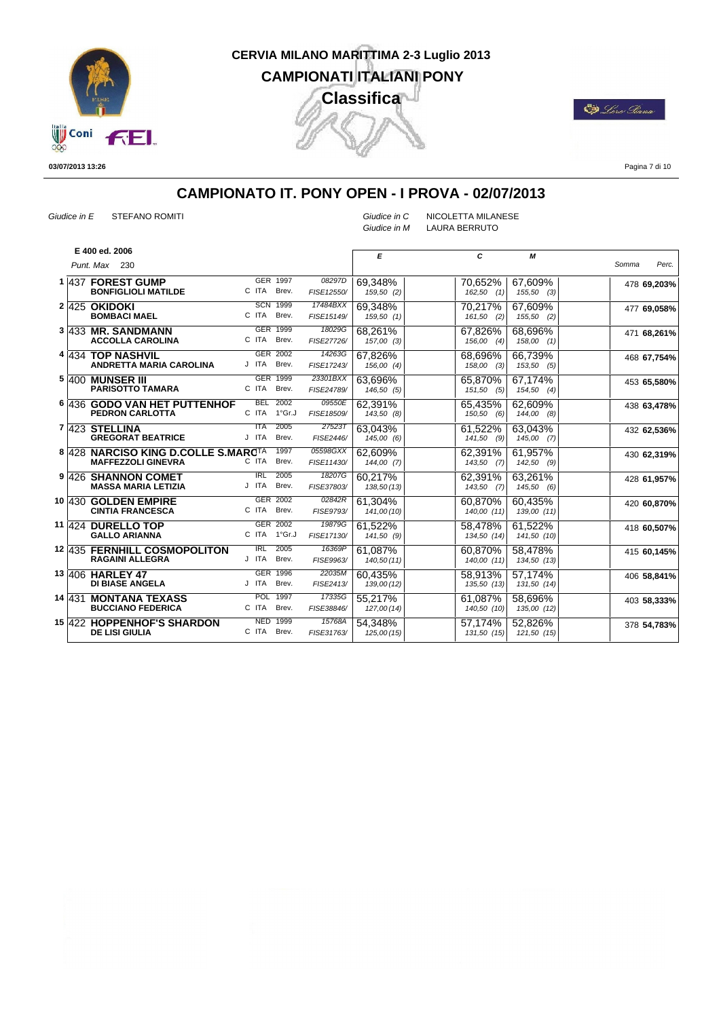

CD Loro Iana

**03/07/2013 13:26**

Pagina 7 di 10

## **CAMPIONATO IT. PONY OPEN - I PROVA - 02/07/2013**

**BOMBACI MAEL** 

*Punt. Max* 230 **E 400 ed. 2006**

*Giudice in E* STEFANO ROMITI *Giudice in C* NICOLETTA MILANESE *Giudice in M* LAURA BERRUTO

*E C Somma Perc. M* **1** 437 **FOREST GUMP** GER<br>**BONFIGLIOLI MATILDE** GITA 1997 *08297D* **69,348% 70,652% 67,609% 1997** *478* **69,203%** *162,50 (1) 155,50 (3) 159,203%* C ITA Brev. FISE12550/ *08297D* 69,348%<br>E12550/ 159,50 (2) **2** 425 **OKIDOKI** SCN 1999 17484BXX 69,348% 70,217% 67,609% 477 **69,058%**<br>FISE15149/ 159,50 (1) 161,50 (2) 155,50 (2) 477 **69,058%** C ITA Brev.  $69,348\%$ *159,50 (1) 161,50 (2) 155,50 (2)*  $67,609%$ **3** 433 MR. SANDMANN GER 1999 <sup>1999</sup> 471 **68,261%** 68,696% C ITA Brev. FISE27726/ *18029G* 68,261% *157,00 (3) 156,00 (4) 158,00 (1)* J Brev. *FISE17243/ 14263G* 67,826% 68,696% *156,00 (4) 158,00 (3)* 66,739% *153,50 (5)* C ITA Brev. FISE24789/ <sup>23301BXX</sup> 63,696% 65,870% *146,50 (5) 151,50 (5)* 67,174% *154,50 (4)* 09550E 62,391% 65,435% 62,609%

|  | <b>ACCOLLA CAROLINA</b>                                          |                     | C ITA Brev.                    | FISE27726/             | 157,00 (3)             | 156,00<br>(4)            | $158,00$ $(1)$           |             |
|--|------------------------------------------------------------------|---------------------|--------------------------------|------------------------|------------------------|--------------------------|--------------------------|-------------|
|  | 4 434 TOP NASHVIL<br>ANDRETTA MARIA CAROLINA                     | J ITA               | GER 2002<br>Brev.              | 14263G<br>FISE17243/   | 67.826%<br>156,00 (4)  | 68,696%<br>(3)<br>158,00 | 66,739%<br>$153,50$ (5)  | 468 67,754% |
|  | <b>5 400 MUNSER III</b><br><b>PARISOTTO TAMARA</b>               | C ITA               | GER 1999<br>Brev.              | 23301BXX<br>FISE24789/ | 63,696%<br>146,50(5)   | 65,870%<br>151,50(5)     | 67,174%<br>154,50<br>(4) | 453 65,580% |
|  | 6 436 GODO VAN HET PUTTENHOF<br><b>PEDRON CARLOTTA</b>           | C ITA               | <b>BEL 2002</b><br>1°Gr.J      | 09550E<br>FISE18509/   | 62,391%<br>143,50 (8)  | 65,435%<br>150,50(6)     | 62,609%<br>144,00<br>(8) | 438 63,478% |
|  | $7 423$ STELLINA<br><b>GREGORAT BEATRICE</b>                     | <b>ITA</b><br>J ITA | 2005<br>Brev.                  | 27523T<br>FISE2446/    | 63.043%<br>145,00 (6)  | 61,522%<br>$141,50$ (9)  | 63,043%<br>$145,00$ (7)  | 432 62,536% |
|  | 8 428 NARCISO KING D.COLLE S.MARCTA<br><b>MAFFEZZOLI GINEVRA</b> | C ITA               | 1997<br>Brev.                  | 05598GXX<br>FISE11430/ | 62.609%<br>144,00(7)   | 62,391%<br>$143,50$ (7)  | 61,957%<br>142,50<br>(9) | 430 62,319% |
|  | 9 426 SHANNON COMET<br><b>MASSA MARIA LETIZIA</b>                | IRL<br>J ITA        | 2005<br>Brev.                  | 18207G<br>FISE37803/   | 60,217%<br>138,50(13)  | 62,391%<br>$143,50$ (7)  | 63,261%<br>145,50(6)     | 428 61,957% |
|  | 10 430 GOLDEN EMPIRE<br><b>CINTIA FRANCESCA</b>                  | C ITA               | GER 2002<br>Brev.              | 02842R<br>FISE9793/    | 61.304%<br>141,00 (10) | 60,870%<br>140,00 (11)   | 60,435%<br>139,00 (11)   | 420 60,870% |
|  | 11 424 DURELLO TOP<br><b>GALLO ARIANNA</b>                       |                     | GER 2002<br>C ITA 1°Gr.J       | 19879G<br>FISE17130/   | 61,522%<br>141,50 (9)  | 58,478%<br>134,50 (14)   | 61,522%<br>141,50 (10)   | 418 60,507% |
|  | 12 435 FERNHILL COSMOPOLITON<br><b>RAGAINI ALLEGRA</b>           | IRL<br>J ITA        | 2005<br>Brev.                  | 16369P<br>FISE9963/    | 61.087%<br>140,50(11)  | 60,870%<br>140,00 (11)   | 58,478%<br>134,50 (13)   | 415 60,145% |
|  | 13 406 HARLEY 47<br><b>DI BIASE ANGELA</b>                       | J ITA               | GER 1996<br>Brev.              | 22035M<br>FISE2413/    | 60.435%<br>139,00 (12) | 58.913%<br>135,50 (13)   | 57.174%<br>131,50 (14)   | 406 58,841% |
|  | 14  431 MONTANA TEXASS<br><b>BUCCIANO FEDERICA</b>               | C ITA               | POL 1997<br>Brev.              | 17335G<br>FISE38846/   | 55.217%<br>127,00 (14) | 61.087%<br>140,50 (10)   | 58.696%<br>135,00 (12)   | 403 58,333% |
|  | <b>15 422 HOPPENHOF'S SHARDON</b><br><b>DE LISI GIULIA</b>       |                     | <b>NED 1999</b><br>C ITA Brev. | 15768A<br>FISE31763/   | 54.348%<br>125,00(15)  | 57.174%<br>131,50(15)    | 52.826%<br>121,50 (15)   | 378 54,783% |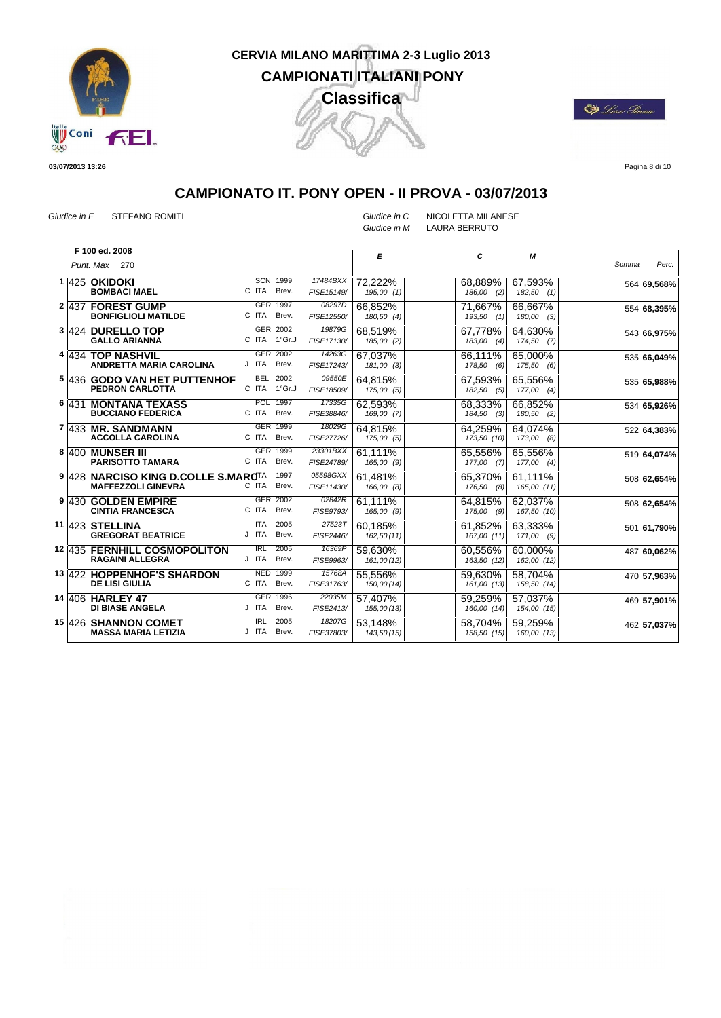

**De** Loro Siana

**03/07/2013 13:26**

Pagina 8 di 10

## **CAMPIONATO IT. PONY OPEN - II PROVA - 03/07/2013**

*Giudice in E* STEFANO ROMITI *Giudice in C* NICOLETTA MILANESE

*Giudice in M* LAURA BERRUTO

|  | F 100 ed. 2008                                                   |                     |                          |                        | E                      | C                       | М                       |                |
|--|------------------------------------------------------------------|---------------------|--------------------------|------------------------|------------------------|-------------------------|-------------------------|----------------|
|  | Punt. Max 270                                                    |                     |                          |                        |                        |                         |                         | Perc.<br>Somma |
|  | $1 425$ OKIDOKI<br><b>BOMBACI MAEL</b>                           | C ITA               | <b>SCN 1999</b><br>Brev. | 17484BXX<br>FISE15149/ | 72,222%<br>195,00(1)   | 68,889%<br>186,00 (2)   | 67,593%<br>$182,50$ (1) | 564 69,568%    |
|  | 2 437 FOREST GUMP<br><b>BONFIGLIOLI MATILDE</b>                  | C ITA               | GER 1997<br>Brev.        | 08297D<br>FISE12550/   | 66.852%<br>180,50 (4)  | 71,667%<br>$193,50$ (1) | 66,667%<br>180,00 (3)   | 554 68,395%    |
|  | 3 424 DURELLO TOP<br><b>GALLO ARIANNA</b>                        |                     | GER 2002<br>C ITA 1°Gr.J | 19879G<br>FISE17130/   | 68.519%<br>185,00 (2)  | 67,778%<br>183,00 (4)   | 64.630%<br>$174,50$ (7) | 543 66,975%    |
|  | 4 434 TOP NASHVIL<br>ANDRETTA MARIA CAROLINA                     | J ITA               | GER 2002<br>Brev.        | 14263G<br>FISE17243/   | 67.037%<br>181,00 (3)  | 66,111%<br>178,50 (6)   | 65.000%<br>175,50 (6)   | 535 66,049%    |
|  | 5 436 GODO VAN HET PUTTENHOF<br><b>PEDRON CARLOTTA</b>           |                     | BEL 2002<br>C ITA 1°Gr.J | 09550E<br>FISE18509/   | 64,815%<br>175,00 (5)  | 67,593%<br>182,50 (5)   | 65,556%<br>$177,00$ (4) | 535 65,988%    |
|  | 6 431 MONTANA TEXASS<br><b>BUCCIANO FEDERICA</b>                 | C ITA               | POL 1997<br>Brev.        | 17335G<br>FISE38846/   | 62.593%<br>169,00 (7)  | 68,333%<br>184,50 (3)   | 66,852%<br>$180,50$ (2) | 534 65,926%    |
|  | 7 433 MR. SANDMANN<br><b>ACCOLLA CAROLINA</b>                    | C ITA               | GER 1999<br>Brev.        | 18029G<br>FISE27726/   | 64.815%<br>175,00 (5)  | 64.259%<br>173,50 (10)  | 64.074%<br>173,00 (8)   | 522 64,383%    |
|  | 8 400 MUNSER III<br><b>PARISOTTO TAMARA</b>                      | C ITA               | GER 1999<br>Brev.        | 23301BXX<br>FISE24789/ | 61.111%<br>165,00 (9)  | 65.556%<br>177,00 (7)   | 65.556%<br>$177,00$ (4) | 519 64,074%    |
|  | 9 428 NARCISO KING D.COLLE S.MARCTA<br><b>MAFFEZZOLI GINEVRA</b> | C ITA               | 1997<br>Brev.            | 05598GXX<br>FISE11430/ | 61,481%<br>166,00 (8)  | 65,370%<br>176,50 (8)   | 61,111%<br>165,00 (11)  | 508 62,654%    |
|  | 9 430 GOLDEN EMPIRE<br><b>CINTIA FRANCESCA</b>                   | C ITA               | GER 2002<br>Brev.        | 02842R<br>FISE9793/    | 61.111%<br>165,00 (9)  | 64.815%<br>175,00 (9)   | 62.037%<br>167,50 (10)  | 508 62,654%    |
|  | 11 423 STELLINA<br><b>GREGORAT BEATRICE</b>                      | <b>ITA</b><br>J ITA | 2005<br>Brev.            | 27523T<br>FISE2446/    | 60.185%<br>162,50(11)  | 61,852%<br>167,00 (11)  | 63,333%<br>171,00 (9)   | 501 61,790%    |
|  | 12 435 FERNHILL COSMOPOLITON<br><b>RAGAINI ALLEGRA</b>           | IRL<br>J ITA        | 2005<br>Brev.            | 16369P<br>FISE9963/    | 59.630%<br>161,00 (12) | 60.556%<br>163,50 (12)  | 60.000%<br>162,00 (12)  | 487 60,062%    |
|  | <b>13 422 HOPPENHOF'S SHARDON</b><br><b>DE LISI GIULIA</b>       | C ITA               | NED 1999<br>Brev.        | 15768A<br>FISE31763/   | 55,556%<br>150,00 (14) | 59,630%<br>161,00 (13)  | 58.704%<br>158,50 (14)  | 470 57,963%    |
|  | 14 406 HARLEY 47<br><b>DI BIASE ANGELA</b>                       | J ITA               | GER 1996<br>Brev.        | 22035M<br>FISE2413/    | 57.407%<br>155,00 (13) | 59.259%<br>160,00 (14)  | 57.037%<br>154,00 (15)  | 469 57,901%    |
|  | 15 426 SHANNON COMET<br><b>MASSA MARIA LETIZIA</b>               | IRL                 | 2005<br>J ITA Brev.      | 18207G<br>FISE37803/   | 53,148%<br>143,50 (15) | 58,704%<br>158,50 (15)  | 59,259%<br>160,00 (13)  | 462 57,037%    |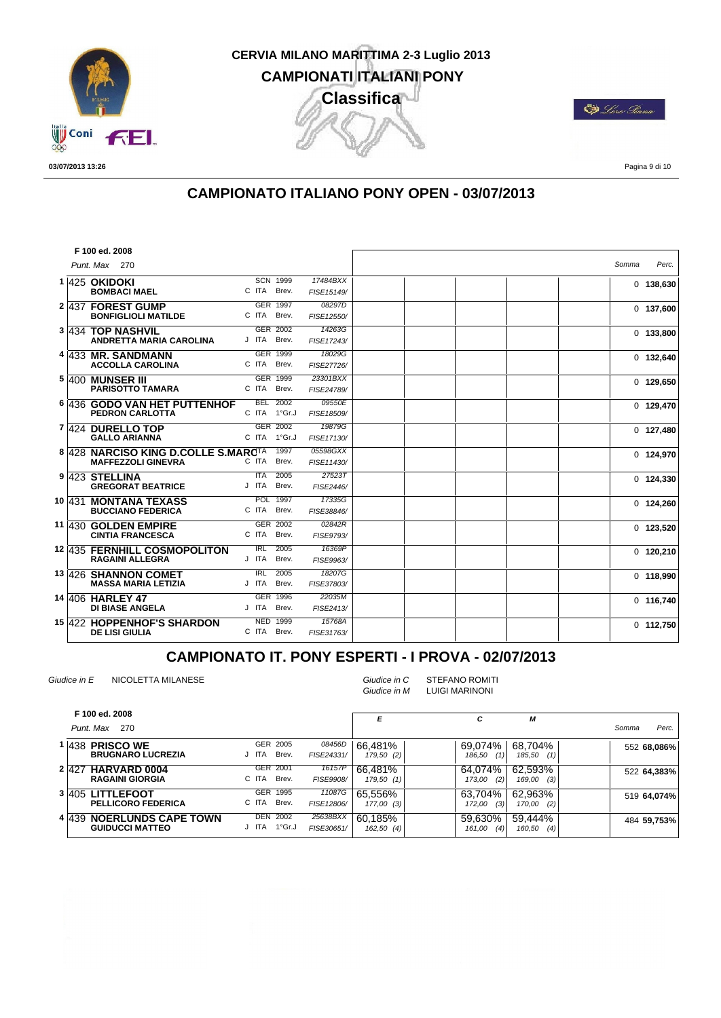

**De** Loro Siana

**03/07/2013 13:26**

Pagina 9 di 10

#### **CAMPIONATO ITALIANO PONY OPEN - 03/07/2013**

|  | F 100 ed. 2008                                                   |                            |                          |                        |       |             |
|--|------------------------------------------------------------------|----------------------------|--------------------------|------------------------|-------|-------------|
|  | Punt. Max 270                                                    |                            |                          |                        | Somma | Perc.       |
|  | 1 425 OKIDOKI<br><b>BOMBACI MAEL</b>                             | C ITA                      | <b>SCN 1999</b><br>Brev. | 17484BXX<br>FISE15149/ |       | $0$ 138,630 |
|  | 2 437 FOREST GUMP<br><b>BONFIGLIOLI MATILDE</b>                  | C ITA                      | GER 1997<br>Brev.        | 08297D<br>FISE12550/   |       | $0$ 137,600 |
|  | 3 434 TOP NASHVIL<br><b>ANDRETTA MARIA CAROLINA</b>              | J ITA                      | GER 2002<br>Brev.        | 14263G<br>FISE17243/   |       | $0$ 133,800 |
|  | 4 433 MR. SANDMANN<br><b>ACCOLLA CAROLINA</b>                    | C ITA                      | <b>GER 1999</b><br>Brev. | 18029G<br>FISE27726/   |       | $0$ 132,640 |
|  | <b>5 400 MUNSER III</b><br><b>PARISOTTO TAMARA</b>               | C ITA                      | GER 1999<br>Brev.        | 23301BXX<br>FISE24789/ |       | $0$ 129,650 |
|  | 6 436 GODO VAN HET PUTTENHOF<br><b>PEDRON CARLOTTA</b>           | <b>BEL</b><br>C ITA 1°Gr.J | 2002                     | 09550E<br>FISE18509/   |       | $0$ 129,470 |
|  | 7 424 DURELLO TOP<br><b>GALLO ARIANNA</b>                        | C ITA 1°Gr.J               | GER 2002                 | 19879G<br>FISE17130/   |       | $0$ 127,480 |
|  | 8 428 NARCISO KING D.COLLE S.MARCIA<br><b>MAFFEZZOLI GINEVRA</b> | C ITA                      | 1997<br>Brev.            | 05598GXX<br>FISE11430/ |       | $0$ 124,970 |
|  | 9 423 STELLINA<br><b>GREGORAT BEATRICE</b>                       | $\overline{I}$ TA<br>J ITA | 2005<br>Brev.            | 27523T<br>FISE2446/    |       | $0$ 124,330 |
|  | 10 431 MONTANA TEXASS<br><b>BUCCIANO FEDERICA</b>                | C ITA                      | POL 1997<br>Brev.        | 17335G<br>FISE38846/   |       | $0$ 124,260 |
|  | 11 430 GOLDEN EMPIRE<br><b>CINTIA FRANCESCA</b>                  | C ITA                      | GER 2002<br>Brev.        | 02842R<br>FISE9793/    |       | $0$ 123,520 |
|  | 12 435 FERNHILL COSMOPOLITON<br><b>RAGAINI ALLEGRA</b>           | IRL<br>J ITA               | 2005<br>Brev.            | 16369P<br>FISE9963/    |       | $0$ 120,210 |
|  | 13 426 SHANNON COMET<br><b>MASSA MARIA LETIZIA</b>               | <b>IRL</b><br>J ITA        | 2005<br>Brev.            | 18207G<br>FISE37803/   |       | $0$ 118,990 |
|  | 14 406 HARLEY 47<br><b>DI BIASE ANGELA</b>                       | J ITA                      | GER 1996<br>Brev.        | 22035M<br>FISE2413/    |       | $0$ 116,740 |
|  | 15 422 HOPPENHOF'S SHARDON<br><b>DE LISI GIULIA</b>              | C ITA                      | <b>NED 1999</b><br>Brev. | 15768A<br>FISE31763/   |       | $0$ 112,750 |

#### **CAMPIONATO IT. PONY ESPERTI - I PROVA - 02/07/2013**

*Giudice in E* NICOLETTA MILANESE *Giudice in C* STEFANO ROMITI *Giudice in M* LUIGI MARINONI

| F 100 ed. 2008<br>Punt. Max 270                     |                                      |                        | E                       | с                        | М                        | Perc.<br>Somma |
|-----------------------------------------------------|--------------------------------------|------------------------|-------------------------|--------------------------|--------------------------|----------------|
| 1 438 PRISCO WE<br><b>BRUGNARO LUCREZIA</b>         | GER 2005<br>J ITA<br>Brev.           | 08456D<br>FISE24331/   | 66.481%<br>179,50 (2)   | 69.074%<br>(1)<br>186.50 | 68.704%<br>(1)<br>185,50 | 552 68,086%    |
| 2 427 HARVARD 0004<br><b>RAGAINI GIORGIA</b>        | GER 2001<br>C ITA<br>Brev.           | 16157P<br>FISE9908/    | 66.481%<br>179,50(1)    | 64.074%<br>(2)<br>173,00 | 62.593%<br>(3)<br>169,00 | 522 64,383%    |
| 3 405 LITTLEFOOT<br><b>PELLICORO FEDERICA</b>       | <b>GER</b><br>1995<br>C ITA<br>Brev. | 11087G<br>FISE12806/   | 65.556%<br>$177,00$ (3) | 63.704%<br>(3)<br>172,00 | 62,963%<br>(2)<br>170,00 | 519 64,074%    |
| 4 439 NOERLUNDS CAPE TOWN<br><b>GUIDUCCI MATTEO</b> | DEN<br>2002<br>1°Gr.J<br>ITA         | 25638BXX<br>FISE30651/ | 60.185%<br>$162,50$ (4) | 59.630%<br>(4)<br>161,00 | 59.444%<br>(4)<br>160,50 | 484 59,753%    |